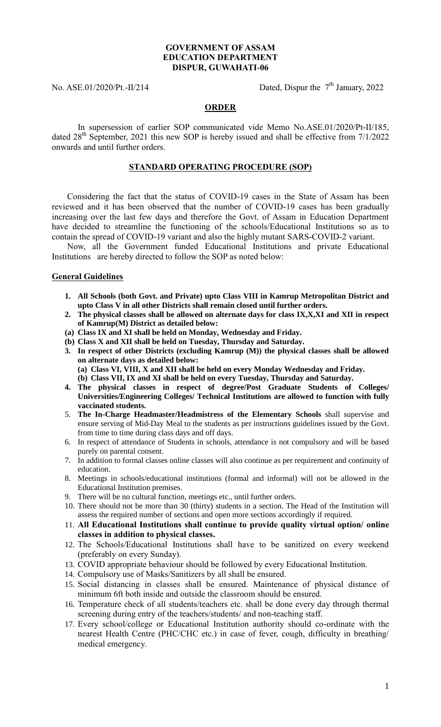## **GOVERNMENT OF ASSAM EDUCATION DEPARTMENT DISPUR, GUWAHATI-06**

No. ASE.01/2020/Pt.-II/214

Dated, Dispur the  $7<sup>th</sup>$  January, 2022

## **ORDER**

In supersession of earlier SOP communicated vide Memo No.ASE.01/2020/Pt-II/185, dated 28<sup>th</sup> September, 2021 this new SOP is hereby issued and shall be effective from 7/1/2022 onwards and until further orders.

### **STANDARD OPERATING PROCEDURE (SOP)**

Considering the fact that the status of COVID-19 cases in the State of Assam has been reviewed and it has been observed that the number of COVID-19 cases has been gradually increasing over the last few days and therefore the Govt. of Assam in Education Department have decided to streamline the functioning of the schools/Educational Institutions so as to contain the spread of COVID-19 variant and also the highly mutant SARS-COVID-2 variant.

Now, all the Government funded Educational Institutions and private Educational Institutions are hereby directed to follow the SOP as noted below:

#### **General Guidelines**

- **1. All Schools (both Govt. and Private) upto Class VIII in Kamrup Metropolitan District and upto Class V in all other Districts shall remain closed until further orders.**
- **2. The physical classes shall be allowed on alternate days for class IX,X,XI and XII in respect of Kamrup(M) District as detailed below:**
- **(a) Class IX and XI shall be held on Monday, Wednesday and Friday.**
- **(b) Class X and XII shall be held on Tuesday, Thursday and Saturday.**
- **3. In respect of other Districts (excluding Kamrup (M)) the physical classes shall be allowed on alternate days as detailed below: (a) Class VI, VIII, X and XII shall be held on every Monday Wednesday and Friday.**

**(b) Class VII, IX and XI shall be held on every Tuesday, Thursday and Saturday.**

- **4. The physical classes in respect of degree/Post Graduate Students of Colleges/ Universities/Engineering Colleges/ Technical Institutions are allowed to function with fully vaccinated students.**
- 5. **The In-Charge Headmaster/Headmistress of the Elementary Schools** shall supervise and ensure serving of Mid-Day Meal to the students as per instructions guidelines issued by the Govt. from time to time during class days and off days.
- 6. In respect of attendance of Students in schools, attendance is not compulsory and will be based purely on parental consent.
- 7. In addition to formal classes online classes will also continue as per requirement and continuity of education.
- 8. Meetings in schools/educational institutions (formal and informal) will not be allowed in the Educational Institution premises.
- 9. There will be no cultural function, meetings etc., until further orders.
- 10. There should not be more than 30 (thirty) students in a section. The Head of the Institution will assess the required number of sections and open more sections accordingly if required.
- 11. **All Educational Institutions shall continue to provide quality virtual option/ online classes in addition to physical classes.**
- 12. The Schools/Educational Institutions shall have to be sanitized on every weekend (preferably on every Sunday).
- 13. COVID appropriate behaviour should be followed by every Educational Institution.
- 14. Compulsory use of Masks/Sanitizers by all shall be ensured.
- 15. Social distancing in classes shall be ensured. Maintenance of physical distance of minimum 6ft both inside and outside the classroom should be ensured.
- 16. Temperature check of all students/teachers etc. shall be done every day through thermal screening during entry of the teachers/students/ and non-teaching staff.
- 17. Every school/college or Educational Institution authority should co-ordinate with the nearest Health Centre (PHC/CHC etc.) in case of fever, cough, difficulty in breathing/ medical emergency.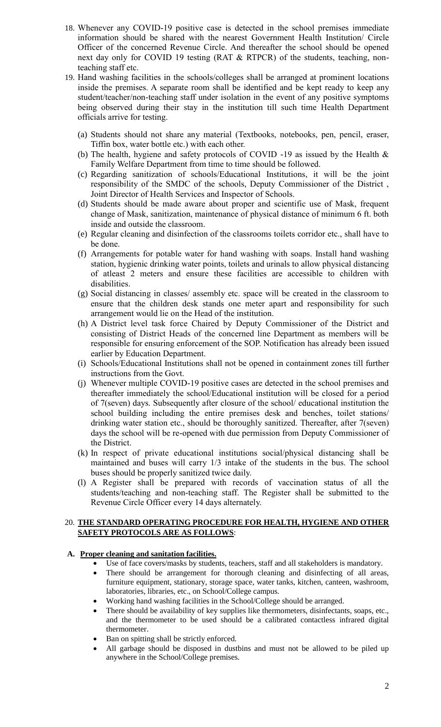- 18. Whenever any COVID-19 positive case is detected in the school premises immediate information should be shared with the nearest Government Health Institution/ Circle Officer of the concerned Revenue Circle. And thereafter the school should be opened next day only for COVID 19 testing (RAT & RTPCR) of the students, teaching, nonteaching staff etc.
- 19. Hand washing facilities in the schools/colleges shall be arranged at prominent locations inside the premises. A separate room shall be identified and be kept ready to keep any student/teacher/non-teaching staff under isolation in the event of any positive symptoms being observed during their stay in the institution till such time Health Department officials arrive for testing.
	- (a) Students should not share any material (Textbooks, notebooks, pen, pencil, eraser, Tiffin box, water bottle etc.) with each other.
	- (b) The health, hygiene and safety protocols of COVID -19 as issued by the Health & Family Welfare Department from time to time should be followed.
	- (c) Regarding sanitization of schools/Educational Institutions, it will be the joint responsibility of the SMDC of the schools, Deputy Commissioner of the District , Joint Director of Health Services and Inspector of Schools.
	- (d) Students should be made aware about proper and scientific use of Mask, frequent change of Mask, sanitization, maintenance of physical distance of minimum 6 ft. both inside and outside the classroom.
	- (e) Regular cleaning and disinfection of the classrooms toilets corridor etc., shall have to be done.
	- (f) Arrangements for potable water for hand washing with soaps. Install hand washing station, hygienic drinking water points, toilets and urinals to allow physical distancing of atleast 2 meters and ensure these facilities are accessible to children with disabilities.
	- (g) Social distancing in classes/ assembly etc. space will be created in the classroom to ensure that the children desk stands one meter apart and responsibility for such arrangement would lie on the Head of the institution.
	- (h) A District level task force Chaired by Deputy Commissioner of the District and consisting of District Heads of the concerned line Department as members will be responsible for ensuring enforcement of the SOP. Notification has already been issued earlier by Education Department.
	- (i) Schools/Educational Institutions shall not be opened in containment zones till further instructions from the Govt.
	- (j) Whenever multiple COVID-19 positive cases are detected in the school premises and thereafter immediately the school/Educational institution will be closed for a period of 7(seven) days. Subsequently after closure of the school/ educational institution the school building including the entire premises desk and benches, toilet stations/ drinking water station etc., should be thoroughly sanitized. Thereafter, after 7(seven) days the school will be re-opened with due permission from Deputy Commissioner of the District.
	- (k) In respect of private educational institutions social/physical distancing shall be maintained and buses will carry 1/3 intake of the students in the bus. The school buses should be properly sanitized twice daily.
	- (l) A Register shall be prepared with records of vaccination status of all the students/teaching and non-teaching staff. The Register shall be submitted to the Revenue Circle Officer every 14 days alternately.

# 20. **THE STANDARD OPERATING PROCEDURE FOR HEALTH, HYGIENE AND OTHER SAFETY PROTOCOLS ARE AS FOLLOWS**:

# **A. Proper cleaning and sanitation facilities.**

- Use of face covers/masks by students, teachers, staff and all stakeholders is mandatory.
- There should be arrangement for thorough cleaning and disinfecting of all areas, furniture equipment, stationary, storage space, water tanks, kitchen, canteen, washroom, laboratories, libraries, etc., on School/College campus.
- Working hand washing facilities in the School/College should be arranged.
- There should be availability of key supplies like thermometers, disinfectants, soaps, etc., and the thermometer to be used should be a calibrated contactless infrared digital thermometer.
- Ban on spitting shall be strictly enforced.
- All garbage should be disposed in dustbins and must not be allowed to be piled up anywhere in the School/College premises.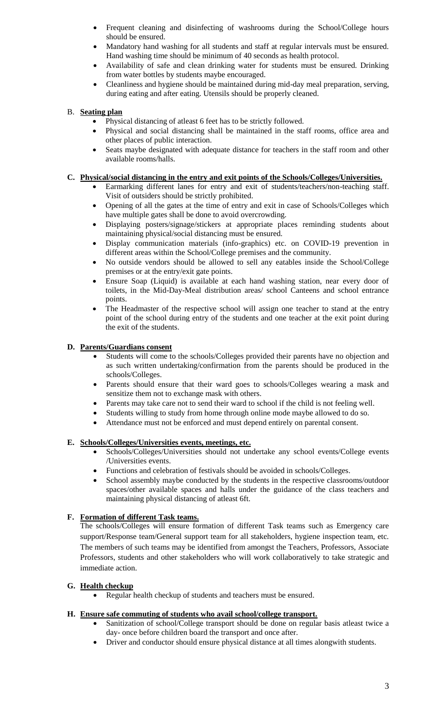- Frequent cleaning and disinfecting of washrooms during the School/College hours should be ensured.
- Mandatory hand washing for all students and staff at regular intervals must be ensured. Hand washing time should be minimum of 40 seconds as health protocol.
- Availability of safe and clean drinking water for students must be ensured. Drinking from water bottles by students maybe encouraged.
- Cleanliness and hygiene should be maintained during mid-day meal preparation, serving, during eating and after eating. Utensils should be properly cleaned.

## B. **Seating plan**

- Physical distancing of atleast 6 feet has to be strictly followed.
- Physical and social distancing shall be maintained in the staff rooms, office area and other places of public interaction.
- Seats maybe designated with adequate distance for teachers in the staff room and other available rooms/halls.

### **C. Physical/social distancing in the entry and exit points of the Schools/Colleges/Universities.**

- Earmarking different lanes for entry and exit of students/teachers/non-teaching staff. Visit of outsiders should be strictly prohibited.
- Opening of all the gates at the time of entry and exit in case of Schools/Colleges which have multiple gates shall be done to avoid overcrowding.
- Displaying posters/signage/stickers at appropriate places reminding students about maintaining physical/social distancing must be ensured.
- Display communication materials (info-graphics) etc. on COVID-19 prevention in different areas within the School/College premises and the community.
- No outside vendors should be allowed to sell any eatables inside the School/College premises or at the entry/exit gate points.
- Ensure Soap (Liquid) is available at each hand washing station, near every door of toilets, in the Mid-Day-Meal distribution areas/ school Canteens and school entrance points.
- The Headmaster of the respective school will assign one teacher to stand at the entry point of the school during entry of the students and one teacher at the exit point during the exit of the students.

### **D. Parents/Guardians consent**

- Students will come to the schools/Colleges provided their parents have no objection and as such written undertaking/confirmation from the parents should be produced in the schools/Colleges.
- Parents should ensure that their ward goes to schools/Colleges wearing a mask and sensitize them not to exchange mask with others.
- Parents may take care not to send their ward to school if the child is not feeling well.
- Students willing to study from home through online mode maybe allowed to do so.
- Attendance must not be enforced and must depend entirely on parental consent.

#### **E. Schools/Colleges/Universities events, meetings, etc.**

- Schools/Colleges/Universities should not undertake any school events/College events /Universities events.
- Functions and celebration of festivals should be avoided in schools/Colleges.
- School assembly maybe conducted by the students in the respective classrooms/outdoor spaces/other available spaces and halls under the guidance of the class teachers and maintaining physical distancing of atleast 6ft.

# **F. Formation of different Task teams.**

The schools/Colleges will ensure formation of different Task teams such as Emergency care support/Response team/General support team for all stakeholders, hygiene inspection team, etc. The members of such teams may be identified from amongst the Teachers, Professors, Associate Professors, students and other stakeholders who will work collaboratively to take strategic and immediate action.

# **G. Health checkup**

Regular health checkup of students and teachers must be ensured.

#### **H. Ensure safe commuting of students who avail school/college transport.**

- Sanitization of school/College transport should be done on regular basis atleast twice a day- once before children board the transport and once after.
- Driver and conductor should ensure physical distance at all times alongwith students.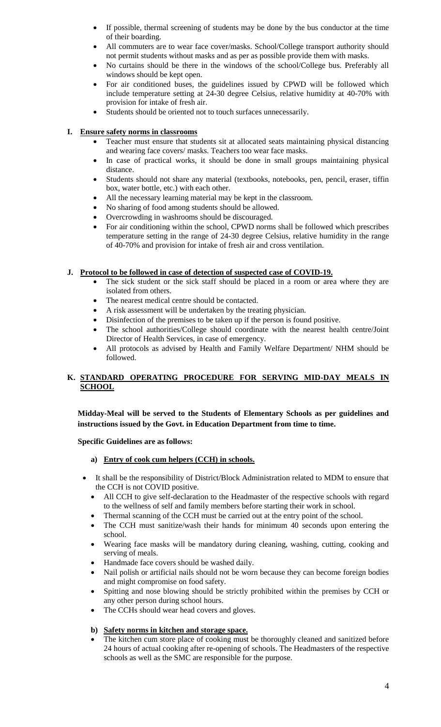- If possible, thermal screening of students may be done by the bus conductor at the time of their boarding.
- All commuters are to wear face cover/masks. School/College transport authority should not permit students without masks and as per as possible provide them with masks.
- No curtains should be there in the windows of the school/College bus. Preferably all windows should be kept open.
- For air conditioned buses, the guidelines issued by CPWD will be followed which include temperature setting at 24-30 degree Celsius, relative humidity at 40-70% with provision for intake of fresh air.
- Students should be oriented not to touch surfaces unnecessarily.

### **I. Ensure safety norms in classrooms**

- Teacher must ensure that students sit at allocated seats maintaining physical distancing and wearing face covers/ masks. Teachers too wear face masks.
- In case of practical works, it should be done in small groups maintaining physical distance.
- Students should not share any material (textbooks, notebooks, pen, pencil, eraser, tiffin box, water bottle, etc.) with each other.
- All the necessary learning material may be kept in the classroom.
- No sharing of food among students should be allowed.
- Overcrowding in washrooms should be discouraged.
- For air conditioning within the school, CPWD norms shall be followed which prescribes temperature setting in the range of 24-30 degree Celsius, relative humidity in the range of 40-70% and provision for intake of fresh air and cross ventilation.

### **J. Protocol to be followed in case of detection of suspected case of COVID-19.**

- The sick student or the sick staff should be placed in a room or area where they are isolated from others.
- The nearest medical centre should be contacted.
- A risk assessment will be undertaken by the treating physician.
- Disinfection of the premises to be taken up if the person is found positive.
- The school authorities/College should coordinate with the nearest health centre/Joint Director of Health Services, in case of emergency.
- All protocols as advised by Health and Family Welfare Department/ NHM should be followed.

# **K. STANDARD OPERATING PROCEDURE FOR SERVING MID-DAY MEALS IN SCHOOL**

**Midday-Meal will be served to the Students of Elementary Schools as per guidelines and instructions issued by the Govt. in Education Department from time to time.** 

#### **Specific Guidelines are as follows:**

#### **a) Entry of cook cum helpers (CCH) in schools.**

- It shall be the responsibility of District/Block Administration related to MDM to ensure that the CCH is not COVID positive.
	- All CCH to give self-declaration to the Headmaster of the respective schools with regard to the wellness of self and family members before starting their work in school.
	- Thermal scanning of the CCH must be carried out at the entry point of the school.
	- The CCH must sanitize/wash their hands for minimum 40 seconds upon entering the school.
	- Wearing face masks will be mandatory during cleaning, washing, cutting, cooking and serving of meals.
	- Handmade face covers should be washed daily.
	- Nail polish or artificial nails should not be worn because they can become foreign bodies and might compromise on food safety.
	- Spitting and nose blowing should be strictly prohibited within the premises by CCH or any other person during school hours.
	- The CCHs should wear head covers and gloves.

### **b) Safety norms in kitchen and storage space.**

 The kitchen cum store place of cooking must be thoroughly cleaned and sanitized before 24 hours of actual cooking after re-opening of schools. The Headmasters of the respective schools as well as the SMC are responsible for the purpose.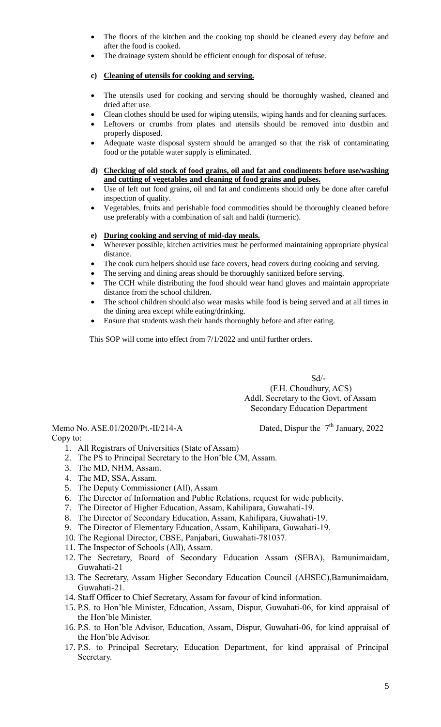- The floors of the kitchen and the cooking top should be cleaned every day before and after the food is cooked.
- The drainage system should be efficient enough for disposal of refuse.

# **c) Cleaning of utensils for cooking and serving.**

- The utensils used for cooking and serving should be thoroughly washed, cleaned and dried after use.
- Clean clothes should be used for wiping utensils, wiping hands and for cleaning surfaces.
- Leftovers or crumbs from plates and utensils should be removed into dustbin and properly disposed.
- Adequate waste disposal system should be arranged so that the risk of contaminating food or the potable water supply is eliminated.
- **d) Checking of old stock of food grains, oil and fat and condiments before use/washing and cutting of vegetables and cleaning of food grains and pulses.**
- Use of left out food grains, oil and fat and condiments should only be done after careful inspection of quality.
- Vegetables, fruits and perishable food commodities should be thoroughly cleaned before use preferably with a combination of salt and haldi (turmeric).

## **e) During cooking and serving of mid-day meals.**

- Wherever possible, kitchen activities must be performed maintaining appropriate physical distance.
- The cook cum helpers should use face covers, head covers during cooking and serving.
- The serving and dining areas should be thoroughly sanitized before serving.
- The CCH while distributing the food should wear hand gloves and maintain appropriate distance from the school children.
- The school children should also wear masks while food is being served and at all times in the dining area except while eating/drinking.
- Ensure that students wash their hands thoroughly before and after eating.

This SOP will come into effect from 7/1/2022 and until further orders.

Sd/- (F.H. Choudhury, ACS) Addl. Secretary to the Govt. of Assam Secondary Education Department

Memo No. ASE.01/2020/Pt.-II/214-A Copy to:

Dated, Dispur the  $7<sup>th</sup>$  January, 2022

- 1. All Registrars of Universities (State of Assam)
- 2. The PS to Principal Secretary to the Hon'ble CM, Assam.
- 3. The MD, NHM, Assam.
- 4. The MD, SSA, Assam.
- 5. The Deputy Commissioner (All), Assam
- 6. The Director of Information and Public Relations, request for wide publicity.
- 7. The Director of Higher Education, Assam, Kahilipara, Guwahati-19.
- 8. The Director of Secondary Education, Assam, Kahilipara, Guwahati-19.
- 9. The Director of Elementary Education, Assam, Kahilipara, Guwahati-19.
- 10. The Regional Director, CBSE, Panjabari, Guwahati-781037.
- 11. The Inspector of Schools (All), Assam.
- 12. The Secretary, Board of Secondary Education Assam (SEBA), Bamunimaidam, Guwahati-21
- 13. The Secretary, Assam Higher Secondary Education Council (AHSEC),Bamunimaidam, Guwahati-21.
- 14. Staff Officer to Chief Secretary, Assam for favour of kind information.
- 15. P.S. to Hon'ble Minister, Education, Assam, Dispur, Guwahati-06, for kind appraisal of the Hon'ble Minister.
- 16. P.S. to Hon'ble Advisor, Education, Assam, Dispur, Guwahati-06, for kind appraisal of the Hon'ble Advisor.
- 17. P.S. to Principal Secretary, Education Department, for kind appraisal of Principal Secretary.